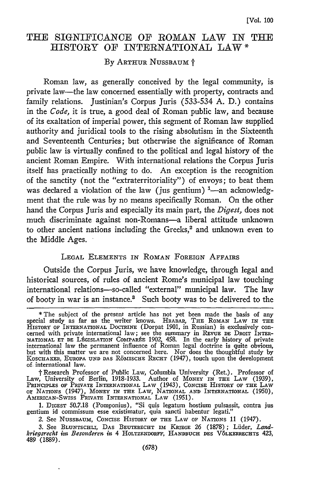# THE SIGNIFICANCE OF ROMAN LAW IN THE HISTORY OF INTERNATIONAL LAW **\***

#### By ARTHUR NUSSBAUM  $\dagger$

Roman law, as generally conceived by the legal community, is private law-the law concerned essentially with property, contracts and family relations. Justinian's Corpus Juris (533-534 A. D.) contains in the *Code,* it is true, a good deal of Roman public law, and because of its exaltation of imperial power, this segment of Roman law supplied authority and juridical tools to the rising absolutism in the Sixteenth and Seventeenth Centuries; but otherwise the significance of Roman public law is virtually confined to the political and legal history of the ancient Roman Empire. With international relations the Corpus Juris itself has practically nothing to do. An exception is the recognition of the sanctity (not the "extraterritoriality") of envoys; to beat them was declared a violation of the law (jus gentium) <sup>1</sup>—an acknowledgment that the rule was by no means specifically Roman. On the other hand the Corpus Juris and especially its main part, the *Digest,* does not much discriminate against non-Romans-a liberal attitude unknown to other ancient nations including the Greeks,<sup>2</sup> and unknown even to the Middle Ages.

### LEGAL ELEMENTS IN ROMAN FOREIGN AFFAIRS

Outside the Corpus Juris, we have knowledge, through legal and historical sources, of rules of ancient Rome's municipal law touching international relations-so-called "external" municipal law. The law of booty in war is an instance.' Such booty was to be delivered to the

**<sup>\*</sup>** The subject of the present article has not yet been made the basis of any special study as far as the writer knows. HRABAR, THE ROMAN LAW IN THE<br>HISTORY OF INTERNATIONAL DOCTRINE (Dorpat 1901, in Russian) is exclusively concerned with private international law; see the summary in **REVUE DE** DROIT **INTER-**NATIONAL **ET DE** LPGISLATION COMPAReE 1902, 458. In the early history of private international law the permanent influence of Roman legal doctrine is quite obvious, but with this matter we are not concerned here. Nor does the thoughtful study by Koschaker, Europa und das Römische Rechr (1947), touch upon the development of. international law.

<sup>†</sup> Research Professor of Public Law, Columbia University (Ret.). Professor of<br>Law, University of Berlin, 1918-1933. Author of Money in the Law (1939),<br>Principles of Private International Law (1943), Concise History of the L oF **NATIONS** (1947), MONEY **IN THE** LAW, NATIONAL **AND** INTERNATIONAL (1950), AMERICAN-SwIss PRIVATE INTERNATIONAL LAW (1951).

<sup>1.</sup> DIGEST 50.7.18 (Pomponius), "Si quis legatum hostium pulsassit, contra jus gentium id commissum esse existimatur, quia sancti habentur legati."

*<sup>2.</sup>* See NUSSBAUm, CONCISE HISTORY OF **THE** LAW OF **NATIONS** 11 (1947).

<sup>3.</sup> See BLUNTSCHLI, **DAS** BEUTERECHT IM **KRIEGE** 26 (1878); Lilder, *Land-kriegsrecht int Besonderen in* 4 HOLTZENDORFF, **HANDBUCH** DES V6LKERRECHTS 423, 489 (1889).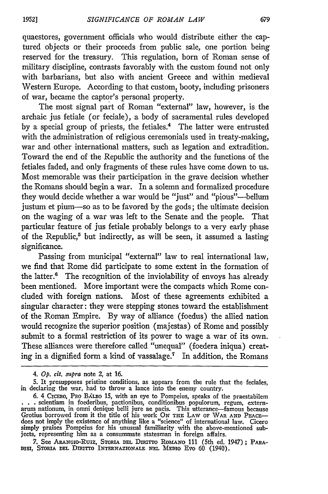quaestores, government officials who would distribute either the captured objects or their proceeds from public sale, one portion being reserved for the treasury. This regulation, born of Roman sense of military discipline, contrasts favorably with the custom found not only with barbarians, but also with ancient Greece and within medieval Western Europe. According to that custom, booty, including prisoners of war, became the captor's personal property.

The most signal part of Roman "external" law, however, is the archaic jus fetiale (or feciale), a body of sacramental rules developed by a special group of priests, the fetiales.<sup>4</sup> The latter were entrusted with the administration of religious ceremonials used in treaty-making, war and other international matters, such as legation and extradition. Toward the end of the Republic the authority and the functions of the fetiales faded, and only fragments of these rules have come down to us. Most memorable was their participation in the grave decision whether the Romans should begin a war. In a solemn and formalized procedure they would decide whether a war would be "just" and "pious"-bellum justum et pium-so as to be favored by the gods; the ultimate decision on the waging of a war was left to the Senate and the people. That particular feature of jus fetiale probably belongs to a very early phase of the Republic, $5$  but indirectly, as will be seen, it assumed a lasting significance.

Passing from municipal "external" law to real international law, we find that Rome did participate to some extent in the formation of the latter." The recognition of the inviolability of envoys has already been mentioned. More important were the compacts which Rome concluded with foreign nations. Most of these agreements exhibited a singular character: they were stepping stones toward the establishment of the Roman Empire. **By** way of alliance (foedus) the allied nation would recognize the superior position (majestas) of Rome and possibly submit to a formal restriction of its power to wage a war of its own. These alliances were therefore called "unequal" (foedera iniqua) creating in a dignified form a kind of vassalage.<sup>7</sup> In addition, the Romans

*<sup>4.</sup> Op. cit. supra* note 2, at **16.**

**<sup>5.</sup>** It presupposes pristine conditions, as appears from the rule that the feciales, in declaring the war, **had** to throw a lance into the enemy country.

<sup>6. 4</sup> Crcero, Pro Balleo 15, with an eye to Pompeius, speaks of the praestabilem . . . scientiam in foederibus, pactionibus, conditionibus populorum, regum, externarum nationum, in omni denique belli jure ae pacis. This utt Grotius borrowed from it the title of his work ON THE LAW OF WAR AND PEACEdoes not imply the existence of anything like a "science" of international law. Cicero simply praises Pompeius for his unusual familiarity with the above-mentioned subjects, representing him as a consummate statesman in foreign affairs.

**<sup>7.</sup>** See ARANGIO-RUIZ, SToRiA **DEL** DiuRTTo ROMANO 111 (5th ed. 1947) **;** PARA-**DiSI,** STOaiA **DEL** Dian-ro **INTERNAZIONALE NEL** MEDiO Evo **60** (1940).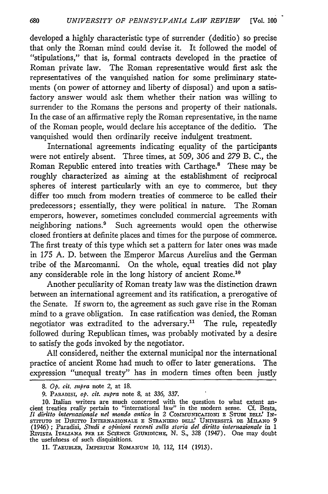developed a highly characteristic type of surrender (deditio) so precise that only the Roman mind could devise it. It followed the model of "stipulations," that is, formal contracts developed in the practice of Roman private law. The Roman representative would first ask the representatives of the vanquished nation for some preliminary statements (on power of attorney and liberty of disposal) and upon a satisfactory answer would ask them whether their nation was willing to surrender to the Romans the persons and property of their nationals. In the case of an affirmative reply the Roman representative, in the name of the Roman people, would declare his acceptance of the deditio. The vanquished would then ordinarily receive indulgent treatment.

International agreements indicating equality of the participants were not entirely absent. Three times, at 509, 306 and 279 B. C., the Roman Republic entered into treaties with Carthage.' These may be roughly characterized as aiming at the establishment of reciprocal spheres of interest particularly with an eye to commerce, but they differ too much from modern treaties of commerce to be called their predecessors; essentially, they were political in nature. The Roman emperors, however, sometimes concluded commercial agreements with neighboring nations.' Such agreements would open the otherwise closed frontiers at definite places and times for the purpose of commerce. The first treaty of this type which set a pattern for later ones was made in 175 A. D. between the Emperor Marcus Aurelius and the German tribe of the Marcomanni. On the whole, equal treaties did not play any considerable role in the long history of ancient Rome.<sup>10</sup>

Another peculiarity of Roman treaty law was the distinction drawn between an international agreement and its ratification, a prerogative of the Senate. If sworn to, the agreement as such gave rise in the Roman mind to a grave obligation. In case ratification was denied, the Roman negotiator was extradited to the adversary.<sup>11</sup> The rule, repeatedly followed during Republican times, was probably motivated by a desire to satisfy the gods invoked by the negotiator.

All considered, neither the external municipal nor the international practice of ancient Rome had much to offer to later generations. The expression "unequal treaty" has in modern times often been justly

**<sup>8.</sup>** *Op. cit. supra* note *2,* at **18.**

**<sup>9.</sup>** PARADISI, *op. cit. supra* note 8, at 336, 337.

**<sup>10.</sup>** Italian writers are much concerned with the question to what extent an- cient treaties really pertain to "international law" in the modern sense. **Cf.** Besta, *II diritto intemaziotale nel nondo antico* in 2 **CommUNICAZlONI E** S'-ui **DEL!L IN-** STITUTO **n** Dimrro **INTERNAZIONALE E** STRANIERO **DELL'** UNIVERSITk **DE MILANO** <sup>9</sup> (1946) ; Paradisi, *Studi e opinioni recenti sulla storia del diritto internazionale* in 1 **RIVIsTA ITALIAxA PER LE SCiENCE GIURmICHE,** N. S., **328** (1947). One may doubt the usefulness of such disquisitions.

<sup>11.</sup> TAEUBLER, IMPERIUM ROMANUM 10, 112, 114 (1913).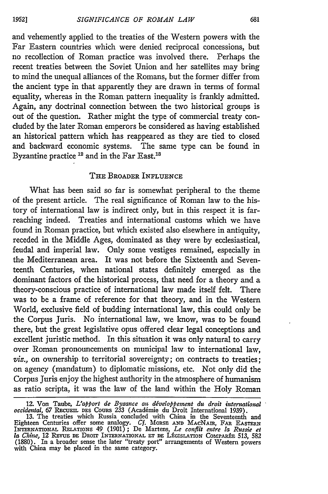and vehemently applied to the treaties of the Western powers with the Far Eastern countries which were denied reciprocal concessions, but no recollection of Roman practice was involved there. Perhaps the recent treaties between the Soviet Union and her satellites may bring to mind the unequal alliances of the Romans, but the former differ from the ancient type in that apparently they are drawn in terms of formal equality, whereas in the Roman pattern inequality is frankly admitted. Again, any doctrinal connection between the two historical groups is out of the question. Rather might the type of commercial treaty concluded **by** the later Roman emperors be considered as having established an historical pattern which has reappeared as they are tied to closed and backward economic systems. The same type can be found in Byzantine practice <sup>12</sup> and in the Far East.<sup>13</sup>

### **THE** BROADER **INFLUENCE**

What has been said so far is somewhat peripheral to the theme of the present article. The real significance of Roman law to the history of international law is indirect only, but in this respect it is farreaching indeed. Treaties and international customs which we have found in Roman practice, but which existed also elsewhere in antiquity, receded in the Middle Ages, dominated as they were by ecclesiastical, feudal and imperial law. Only some vestiges remained, especially in the Mediterranean area. It was not before the Sixteenth and Seventeenth Centuries, when national states definitely emerged as the dominant factors of the historical process, that need for a theory and a theory-conscious practice of international law made itself felt. There was to be a frame of reference for that theory, and in the Western World, exclusive field of budding international law, this could only be the Corpus Juris. No international law, we know, was to be found there, but the great legislative opus offered clear legal conceptions and excellent juristic method. In this situation it was only natural to carry over Roman pronouncements on municipal law to international law, *viz.,* on ownership to territorial sovereignty; on contracts to treaties; on agency (mandatum) to diplomatic missions, etc. Not only did the Corpus Juris enjoy the highest authority in the atmosphere of humanism as ratio scripta, it was the law of the land within the Holy Roman

**1952]**

<sup>12.</sup> Von Taube, *L'apport de Byzance au développement du droit international occidental, 67* **RECuEm** DES CouRs 233 (Acadimie du Droit International 1939).

<sup>13.</sup> The treaties which Russia concluded with China in the Seventeenth and Eighteen Centuries offer some analogy. *Cf.* MORSE **AND** MAcNAIR, FAR **EASTERN INTERxATIONAL RELATIONS** 49 (1901); De Martens, *Le conflit entre [a Russie et la Ch w,* 12 REvuE **DE** DROT INTERNATIONAL **ET** DE LfGISLATiON COMPARIE 513, 582 (1880). In a broader sense the later "treaty port" arrangements of Western powers with China may be placed in the same category.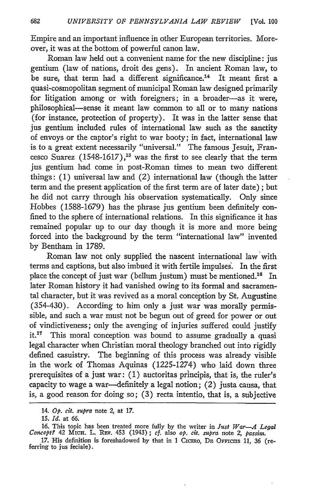Empire and an important influence in other European territories. Moreover, it was at the bottom of powerful canon law.

Roman law held out a convenient name for the new discipline: jus gentium (law of nations, droit des gens). In ancient Roman law, to be sure, that term had a different significance.<sup>14</sup> It meant first a quasi-cosmopolitan segment of municipal Roman law designed primarily for litigation among or with foreigners; in a broader-as it were, philosophical-sense it meant law common to all or to many nations (for instance, protection of property). It was in the latter sense that jus gentium included rules of international law such as the sanctity of envoys or the captor's right to war booty; in fact, international law is to a great extent necessarily "universal." The famous Jesuit, Francesco Suarez  $(1548-1617),$ <sup>15</sup> was the first to see clearly that the term jus gentium had come in post-Roman times to mean two different things: (1) universal law and (2) international law (though the latter term and the present application of the first term are of later date); but he did not carry through his observation systematically. Only since Hobbes (1588-1679) has the phrase jus gentium been definitely confined to the sphere of international relations. In this significance it has remained popular up to our day though it is more and more being forced into the background by the term "international law" invented by Bentham in 1789.

Roman law not only supplied the nascent international law with terms and captions, but also imbued it with fertile impulses. In the first place the concept of just war (bellum justum) must be mentioned.<sup>16</sup> In later Roman history it had vanished owing to its formal and sacramental character, but it was revived as a moral conception by St. Augustine (354-430). According to him only a just war was morally permissible, and such a war must not be begun out of greed for power or out of vindictiveness; only the avenging of injuries suffered could justify it.<sup>17</sup> This moral conception was bound to assume gradually a quasi legal character when Christian moral theology branched out into rigidly defined casuistry. The beginning of this process was already visible in the work of Thomas Aquinas (1225-1274) who laid down three prerequisites of a just war: (1) auctoritas principis, that is, the ruler's capacity to wage a war-definitely a legal notion; (2) justa causa, that is, a good reason for doing so; (3) recta intentio, that is, a subjective

<sup>14.</sup> *Op. cit. supra* note 2, at **17.**

<sup>15.</sup> *Id.* at 66.

<sup>16.</sup> This topic has been treated more fully by the writer in *Just War-A Legal* Concept? 42 MicH. L. REv. 453 (1943); *cf.* also *op. cit. supra* note 2, *passim.* 

<sup>17.</sup> His definition is foreshadowed by that in 1 CICERO, DE OFFICIIS 11, 36 (referring to jus feciale).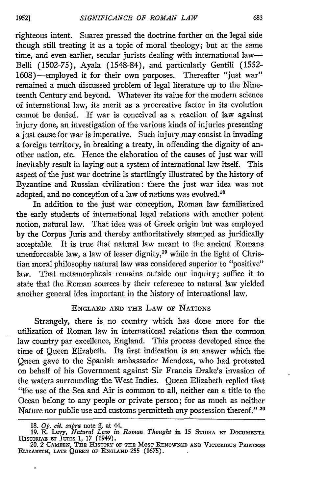righteous intent. Suarez pressed the doctrine further on the legal side though still treating it as a topic of moral theology; but at the same time, and even earlier, secular jurists dealing with international law-Belli (1502-75), Ayala (1548-84), and particularly Gentili (1552- 1608)-employed it for their own purposes. Thereafter "just war" remained a much discussed problem of legal literature up to the Nineteenth Century and beyond. Whatever its value for the modern science of international law, its merit as a procreative factor in its evolution cannot be denied. If war is conceived as a reaction of law against injury done, an investigation of the various kinds of injuries presenting a just cause for war is imperative. Such injury may consist in invading a foreign territory, in breaking a treaty, in offending the dignity of another nation, etc. Hence the elaboration of the causes of just war will inevitably result in laying out a system of international law itself. This aspect of the just war doctrine is startlingly illustrated by the history of Byzantine and Russian civilization: there the just war idea was not adopted, and no conception of a law of nations was evolved.<sup>18</sup>

In addition to the just war conception, Roman law familiarized the early students of international legal relations with another potent notion, natural law. That idea was of Greek origin but was employed by the Corpus Juris and thereby authoritatively stamped as juridically acceptable. It is true that natural law meant to the ancient Romans unenforceable law, a law of lesser dignity,<sup>19</sup> while in the light of Christian moral philosophy natural law was considered superior to "positive" law. That metamorphosis remains outside our inquiry; suffice it to state that the Roman sources by their reference to natural law yielded another general idea important in the history of international law.

# **ENGLAND AND** THE LAW OF NATIONS

Strangely, there is, no country which has done more for the utilization of Roman law in international relations than the common law country par excellence, England. This process developed since the time of Queen Elizabeth. Its first indication is an answer which the Queen gave to the Spanish ambassador Mendoza, who had protested on behalf of his Government against Sir Francis Drake's invasion of the waters surrounding the West Indies. Queen Elizabeth replied that "the use of the Sea and Air is common to all, neither can a title to the Ocean belong to any people or private person; for as much as neither Nature nor public use and customs permitteth any possession thereof." 20

 $\bullet$ 

<sup>18.</sup>  $Op$ . cit. supra note 2, at 44.<br>19. E. Levy, *Natural Law in Roman Thought* in 15 STUDIA ET DOCUMENTA<br>HISTORIAE ET JURIS 1, 17 (1949).<br>20. 2 CAMDEN, THE HISTORY OF THE MOST RENOWNED AND VICTORIOUS PRINCESS

**ELIZABETH, LATE QUEEN OF ENGLAND 255 (1675).**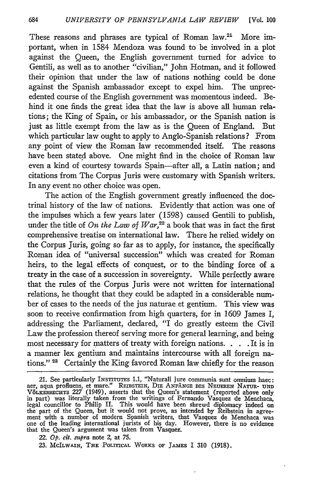These reasons and phrases are typical of Roman law.<sup>21</sup> More important, when in 1584 Mendoza was found to be involved in a plot against the Queen, the English government turned for advice to Gentili, as well as to another "civilian," John Hotman, and it followed their opinion that under the law of nations nothing could be done against the Spanish ambassador except to expel him. The unprecedented course of the English government was momentous indeed. Behind it one finds the great idea that the law is above all human relations; the King of Spain, or his ambassador, or the Spanish nation is just as little exempt from the law as is the Queen of England. But which particular law ought to apply to Anglo-Spanish relations? From any point of view the Roman law recommended itself. The reasons have been stated above. One might find in the choice of Roman law even a kind of courtesy towards Spain-after all, a Latin nation; and citations from The Corpus Juris were customary with Spanish writers. In any event no other choice was open.

The action of the English government greatly influenced the doctrinal history of the law of nations. Evidently that action was one of the impulses which a few years later (1598) caused Gentili to publish, under the title of *On the Law of War*,<sup>22</sup> a book that was in fact the first comprehensive treatise on international law. There he relied widely on the Corpus Juris, going so far as to apply, for instance, the specifically Roman idea of "universal succession" which was created for Roman heirs, to the legal effects of conquest, or to the binding force of a treaty in the case of a succession in sovereignty. While perfectly aware that the rules of the Corpus Juris were not written for international relations, he thought that they could be adapted in a considerable number of cases to the needs of the jus naturae et gentium. This view was soon to receive confirmation from high quarters, for in 1609 James I, addressing the Parliament, declared, "I do greatly esteem the Civil Law the profession thereof serving more for general learning, and being most necessary for matters of treaty with foreign nations. **. .** . It is in a manner lex gentium and maintains intercourse with all foreign nations." **25** Certainly the King favored Roman law chiefly for the reason

<sup>21.</sup> See particularly INSTITUTES 1.1, "Naturali jure communia sunt omnium haec: aer, aqua profluens, et mare." **REIBSTEIN,** DIE **ANFANGE** DES NEUEREN NATUR- **UND V8LKERRECHTS** 227 (1949), asserts that the Queen's statement (reported above only in part) was literally taken from the writings of Fernando Vasquez de Menchaca, legal councillor to Philip II. This would have been shrewd diplomacy indeed on the part of the Queen, but it would not prove, as intended by Reibstein in agreement with a number of modern Spanish writers, that Vasquez de Menchaca was one of the leading international jurists of his day. However, there is no evidence that the Queen's argument was taken from Vasquez.

<sup>22.</sup> *Op. cit. supra* note 2, at 75.

<sup>23.</sup> MCILWAIN, **THE** POLITICAL WORKS OF **JAMES** I 310 (1918).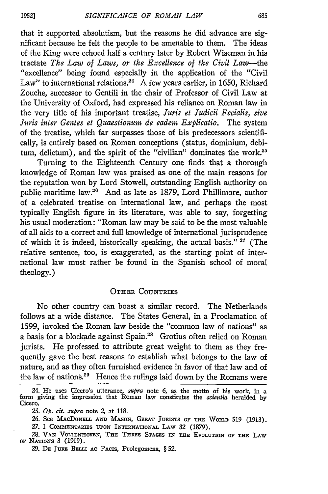that it supported absolutism, but the reasons he did advance are significant because he felt the people to be amenable to them. The ideas of the King were echoed half a century later by Robert Wiseman in his tractate *The Law of Laws, or the Excellence of the Civil Law-the* "excellence" being found especially in the application of the "Civil Law" to international relations.<sup>24</sup> A few years earlier, in 1650, Richard Zouche, successor to Gentili in the chair of Professor of Civil Law at the University of Oxford, had expressed his reliance on Roman law in the very title of his important treatise, *Juris et Judicii Fecialis, sive Juris inter Gentes et Quaestionum de eadem Explicatio.* The system of the treatise, which far surpasses those of his predecessors scientifically, is entirely based on Roman conceptions (status, dominium, debitum, delictum), and the spirit of the "civilian" dominates the work.<sup>25</sup>

Turning to the Eighteenth Century one finds that a thorough knowledge of Roman law was praised as one of the main reasons for the reputation won **by** Lord Stowell, outstanding English authority on public maritime law.<sup>26</sup> And as late as 1879, Lord Phillimore, author of a celebrated treatise on international law, and perhaps the most typically English figure in its literature, was able to say, forgetting his usual moderation: "Roman law may be said to be the most valuable of all aids to a correct and full knowledge of international jurisprudence of which it is indeed, historically speaking, the actual basis." **27** (The relative sentence, too, is exaggerated, as the starting point of international law must rather be found in the Spanish school of moral theology.)

#### **OTHER COUNTRIES**

No other country can boast a similar record. The Netherlands follows at a wide distance. The States General, in a Proclamation of 1599, invoked the Roman law beside the "common law of nations" as a basis for a blockade against Spain.<sup>28</sup> Grotius often relied on Roman jurists. He professed to attribute great weight to them as they frequently gave the best reasons to establish what belongs to the law of nature, and as they often furnished evidence in favor of that law and of the law of nations.<sup>29</sup> Hence the rulings laid down by the Romans were

<sup>24.</sup> He uses Cicero's utterance, *upra* note 6, as the motto of his work, in a form giving the impression that Roman law constitutes the *scientia* heralded **by** Cicero.

**<sup>25.</sup>** *Op. cit. supra* note 2, at 118.

**<sup>26.</sup>** See MACDONELL **AND** MASON, GREAT JURISTS OF **THE** WORID 519 (1913).

<sup>27. 1</sup> COMMENTARIES UPON INTERNATIONAL LAW 32 (1879).

<sup>28.</sup> **VAN** VOLLENHOVEN, **THE** THREE **STAGES** IN THE **EVOLUTION** OF **THE** LAw OF **NATIONS** 3 (1919).

<sup>29.</sup> **DE JUnE BELIU AC** PACIS, Prolegomena, § **52.**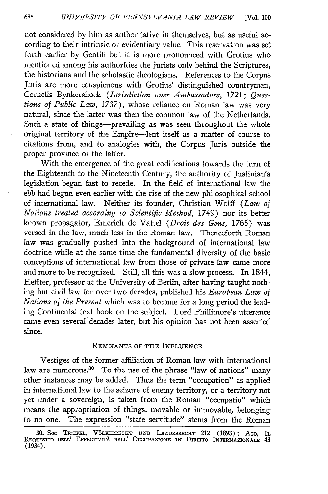not considered by him as authoritative in themselves, but as useful according to their intrinsic or evidentiary value This reservation was set forth earlier by Gentili but it is more pronounced with Grotius who mentioned among his authorities the jurists only behind the Scriptures, the historians and the scholastic theologians. References to the Corpus Juris are more conspicuous with Grotius' distinguished countryman, Cornelis Bynkershoek *(Jurisdiction over Ambassadors,* 1721; *Questions of Public Law,* 1737), whose reliance on Roman law was very natural, since the latter was then the common law of the Netherlands. Such a state of things-prevailing as was seen throughout the whole original territory of the Empire-lent itself as a matter of course to citations from, and to analogies with, the Corpus Juris outside the proper province of the latter.

With the emergence of the great codifications towards the turn of the Eighteenth to the Nineteenth Century, the authority of Justinian's legislation began fast to recede. In the field of international law the ebb had begun even earlier with the rise of the new philosophical school of international law. Neither its founder, Christian Wolff *(Law of Nations treated according to Scientific Method,* 1749) nor its better known propagator, Emerich de Vattel *(Droit des Gens,* 1765) was versed in the law, much less in the Roman law. Thenceforth Roman law was gradually pushed into the background of international law doctrine while at the same time the fundamental diversity of the basic conceptions of international law from those of private law came more and more to be recognized. Still, all this was a slow process. In 1844, Heffter, professor at the University of Berlin, after having taught nothing but civil law for over two decades, published his *European Law of Nations of the Present* which was to become for a long period the leading Continental text book on the subject. Lord Phillimore's utterance came even several'decades later, but his opinion has not been asserted since.

#### REMNANTS OF THE **INFLUENCE**

Vestiges of the former affiliation of Roman law with international law are numerous.<sup>30</sup> To the use of the phrase "law of nations" many other instances may be added. Thus the term "occupation" as applied in international law to the seizure of enemy territory, or a territory not yet under a sovereign, is taken from the Roman "occupatio" which means the appropriation of things, movable or immovable, belonging to no one. The expression "state servitude" stems from the Roman

**<sup>30.</sup>** See TRimEn, **V6LKERRECHT uND LANDESRECHT** 212 (1893); **AGO,** IL **REQUISITO DELL' EFFECTIVITA DELL'** OccuPAzIom: **IN Dnuo INTERNAZIONALE** <sup>43</sup> (1934).